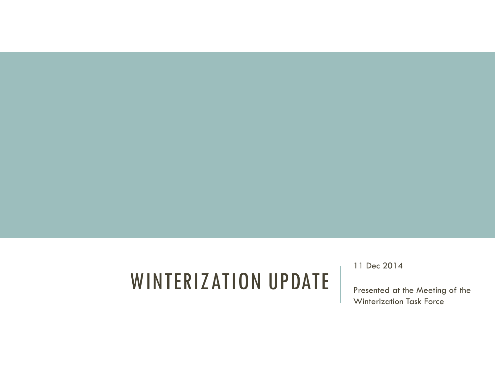## WINTERIZATION UPDATE

11 Dec 2014

Presented at the Meeting of the Winterization Task Force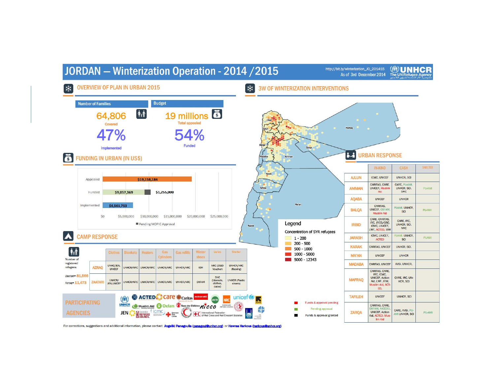

For corrections, suggestions and additional information, please contact Angeliki Panagoulla (panagoule unher.org) or Hawraa Harkous (harkous@unher.org)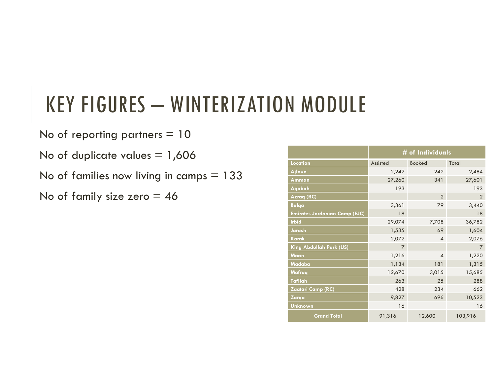## KEY FIGURES – WINTERIZATION MODULE

No of reporting partners  $= 10$ 

No of duplicate values  $= 1,606$ 

No of families now living in camps  $= 133$ 

No of family size zero  $= 46$ 

|                                      | # of Individuals |                |                |
|--------------------------------------|------------------|----------------|----------------|
| Location                             | Assisted         | <b>Booked</b>  | Total          |
| Ajloun                               | 2,242            | 242            | 2,484          |
| <b>Amman</b>                         | 27,260           | 341            | 27,601         |
| Aqabah                               | 193              |                | 193            |
| Azraq (RC)                           |                  | $\overline{2}$ | $\overline{2}$ |
| <b>Balqa</b>                         | 3,361            | 79             | 3,440          |
| <b>Emirates Jordanian Camp (EJC)</b> | 18               |                | 18             |
| <b>Irbid</b>                         | 29,074           | 7,708          | 36,782         |
| Jarash                               | 1,535            | 69             | 1,604          |
| <b>Karak</b>                         | 2,072            | $\overline{4}$ | 2,076          |
| King Abdullah Park (US)              | $\overline{7}$   |                | $\overline{7}$ |
| <b>Maan</b>                          | 1,216            | $\overline{4}$ | 1,220          |
| Madaba                               | 1,134            | 181            | 1,315          |
| <b>Mafraq</b>                        | 12,670           | 3,015          | 15,685         |
| <b>Tafilah</b>                       | 263              | 25             | 288            |
| Zaatari Camp (RC)                    | 428              | 234            | 662            |
| <b>Zarga</b>                         | 9,827            | 696            | 10,523         |
| <b>Unknown</b>                       | 16               |                | 16             |
| <b>Grand Total</b>                   | 91,316           | 12,600         | 103,916        |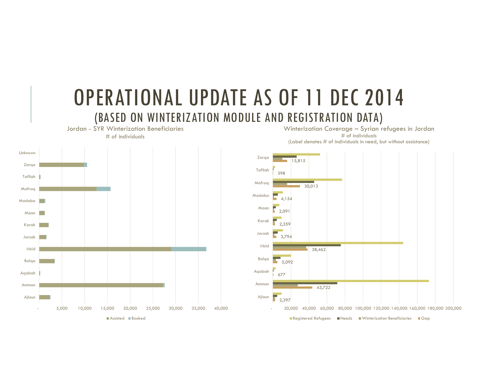